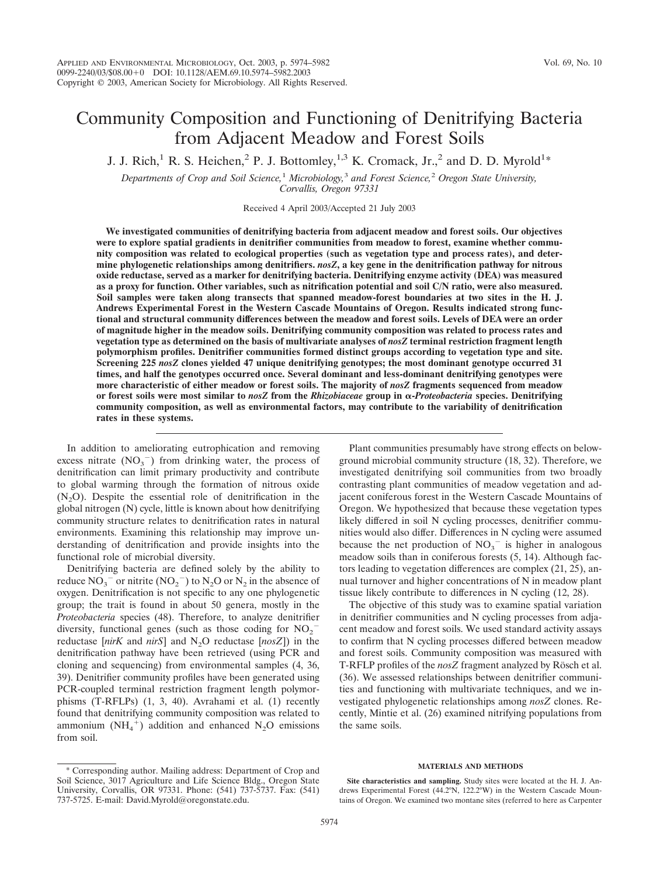# Community Composition and Functioning of Denitrifying Bacteria from Adjacent Meadow and Forest Soils

J. J. Rich,<sup>1</sup> R. S. Heichen,<sup>2</sup> P. J. Bottomley,<sup>1,3</sup> K. Cromack, Jr.,<sup>2</sup> and D. D. Myrold<sup>1</sup>\*

*Departments of Crop and Soil Science,*<sup>1</sup> *Microbiology,*<sup>3</sup> *and Forest Science,*<sup>2</sup> *Oregon State University, Corvallis, Oregon 97331*

Received 4 April 2003/Accepted 21 July 2003

**We investigated communities of denitrifying bacteria from adjacent meadow and forest soils. Our objectives were to explore spatial gradients in denitrifier communities from meadow to forest, examine whether community composition was related to ecological properties (such as vegetation type and process rates), and determine phylogenetic relationships among denitrifiers.** *nosZ***, a key gene in the denitrification pathway for nitrous oxide reductase, served as a marker for denitrifying bacteria. Denitrifying enzyme activity (DEA) was measured as a proxy for function. Other variables, such as nitrification potential and soil C/N ratio, were also measured. Soil samples were taken along transects that spanned meadow-forest boundaries at two sites in the H. J. Andrews Experimental Forest in the Western Cascade Mountains of Oregon. Results indicated strong functional and structural community differences between the meadow and forest soils. Levels of DEA were an order of magnitude higher in the meadow soils. Denitrifying community composition was related to process rates and vegetation type as determined on the basis of multivariate analyses of** *nosZ* **terminal restriction fragment length polymorphism profiles. Denitrifier communities formed distinct groups according to vegetation type and site. Screening 225** *nosZ* **clones yielded 47 unique denitrifying genotypes; the most dominant genotype occurred 31 times, and half the genotypes occurred once. Several dominant and less-dominant denitrifying genotypes were more characteristic of either meadow or forest soils. The majority of** *nosZ* **fragments sequenced from meadow or forest soils were most similar to** *nosZ* **from the** *Rhizobiaceae* **group in -***Proteobacteria* **species. Denitrifying community composition, as well as environmental factors, may contribute to the variability of denitrification rates in these systems.**

In addition to ameliorating eutrophication and removing excess nitrate  $(NO<sub>3</sub><sup>-</sup>)$  from drinking water, the process of denitrification can limit primary productivity and contribute to global warming through the formation of nitrous oxide  $(N_2O)$ . Despite the essential role of denitrification in the global nitrogen (N) cycle, little is known about how denitrifying community structure relates to denitrification rates in natural environments. Examining this relationship may improve understanding of denitrification and provide insights into the functional role of microbial diversity.

Denitrifying bacteria are defined solely by the ability to reduce  $NO_3^-$  or nitrite  $(NO_2^-)$  to  $N_2$ O or  $N_2$  in the absence of oxygen. Denitrification is not specific to any one phylogenetic group; the trait is found in about 50 genera, mostly in the *Proteobacteria* species (48). Therefore, to analyze denitrifier diversity, functional genes (such as those coding for  $NO_2^$ reductase [*nirK* and *nirS*] and N<sub>2</sub>O reductase [*nosZ*]) in the denitrification pathway have been retrieved (using PCR and cloning and sequencing) from environmental samples (4, 36, 39). Denitrifier community profiles have been generated using PCR-coupled terminal restriction fragment length polymorphisms (T-RFLPs) (1, 3, 40). Avrahami et al. (1) recently found that denitrifying community composition was related to ammonium  $(NH_4^+)$  addition and enhanced N<sub>2</sub>O emissions from soil.

Plant communities presumably have strong effects on belowground microbial community structure (18, 32). Therefore, we investigated denitrifying soil communities from two broadly contrasting plant communities of meadow vegetation and adjacent coniferous forest in the Western Cascade Mountains of Oregon. We hypothesized that because these vegetation types likely differed in soil N cycling processes, denitrifier communities would also differ. Differences in N cycling were assumed because the net production of  $NO<sub>3</sub><sup>-</sup>$  is higher in analogous meadow soils than in coniferous forests (5, 14). Although factors leading to vegetation differences are complex (21, 25), annual turnover and higher concentrations of N in meadow plant tissue likely contribute to differences in N cycling (12, 28).

The objective of this study was to examine spatial variation in denitrifier communities and N cycling processes from adjacent meadow and forest soils. We used standard activity assays to confirm that N cycling processes differed between meadow and forest soils. Community composition was measured with T-RFLP profiles of the *nosZ* fragment analyzed by Rösch et al. (36). We assessed relationships between denitrifier communities and functioning with multivariate techniques, and we investigated phylogenetic relationships among *nosZ* clones. Recently, Mintie et al. (26) examined nitrifying populations from the same soils.

# **MATERIALS AND METHODS**

**Site characteristics and sampling.** Study sites were located at the H. J. Andrews Experimental Forest (44.2°N, 122.2°W) in the Western Cascade Mountains of Oregon. We examined two montane sites (referred to here as Carpenter

<sup>\*</sup> Corresponding author. Mailing address: Department of Crop and Soil Science, 3017 Agriculture and Life Science Bldg., Oregon State University, Corvallis, OR 97331. Phone: (541) 737-5737. Fax: (541) 737-5725. E-mail: David.Myrold@oregonstate.edu.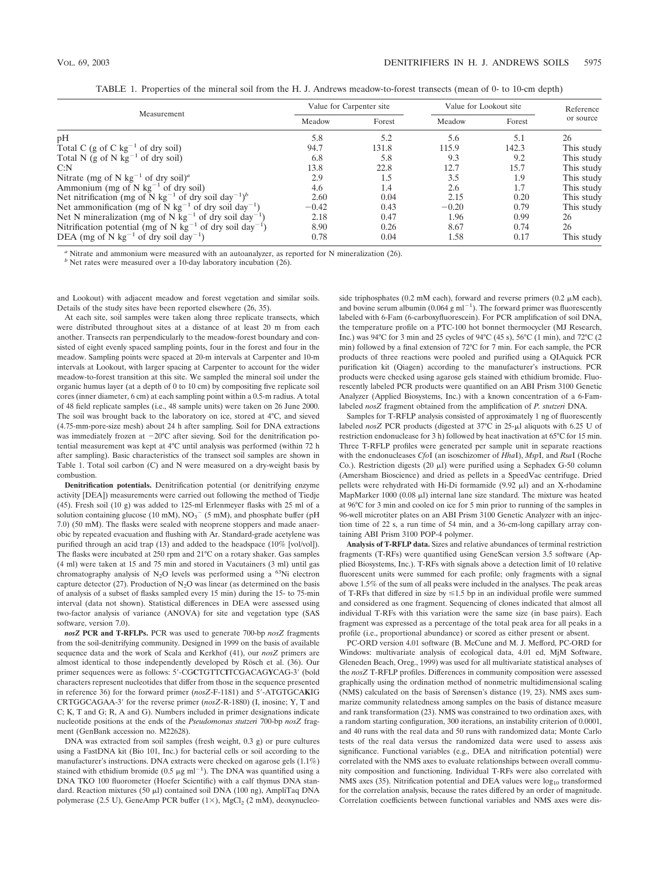| TABLE 1. Properties of the mineral soil from the H. J. Andrews meadow-to-forest transects (mean of 0- to 10-cm depth) |  |
|-----------------------------------------------------------------------------------------------------------------------|--|
|                                                                                                                       |  |

|                                                                                          | Value for Carpenter site |        | Value for Lookout site |        | Reference  |
|------------------------------------------------------------------------------------------|--------------------------|--------|------------------------|--------|------------|
| Measurement                                                                              | Meadow                   | Forest | Meadow                 | Forest | or source  |
| pH                                                                                       | 5.8                      | 5.2    | 5.6                    | 5.1    | 26         |
| Total C (g of C $kg^{-1}$ of dry soil)                                                   | 94.7                     | 131.8  | 115.9                  | 142.3  | This study |
| Total N (g of N $kg^{-1}$ of dry soil)                                                   | 6.8                      | 5.8    | 9.3                    | 9.2    | This study |
| C: N                                                                                     | 13.8                     | 22.8   | 12.7                   | 15.7   | This study |
| Nitrate (mg of N kg <sup>-1</sup> of dry soil) <sup>a</sup>                              | 2.9                      | 1.5    | 3.5                    | 1.9    | This study |
| Ammonium (mg of N $kg^{-1}$ of dry soil)                                                 | 4.6                      | 1.4    | 2.6                    | 1.7    | This study |
| Net nitrification (mg of N kg <sup>-1</sup> of dry soil day <sup>-1</sup> ) <sup>b</sup> | 2.60                     | 0.04   | 2.15                   | 0.20   | This study |
| Net ammonification (mg of N kg <sup>-1</sup> of dry soil day <sup>-1</sup> )             | $-0.42$                  | 0.43   | $-0.20$                | 0.79   | This study |
| Net N mineralization (mg of N kg <sup>-1</sup> of dry soil day <sup>-1</sup> )           | 2.18                     | 0.47   | 1.96                   | 0.99   | 26         |
| Nitrification potential (mg of N kg <sup>-1</sup> of dry soil day <sup>-1</sup> )        | 8.90                     | 0.26   | 8.67                   | 0.74   | 26         |
| DEA (mg of N kg <sup>-1</sup> of dry soil day <sup>-1</sup> )                            | 0.78                     | 0.04   | 1.58                   | 0.17   | This study |

*<sup>a</sup>* Nitrate and ammonium were measured with an autoanalyzer, as reported for N mineralization (26).

*<sup>b</sup>* Net rates were measured over a 10-day laboratory incubation (26).

and Lookout) with adjacent meadow and forest vegetation and similar soils. Details of the study sites have been reported elsewhere (26, 35).

At each site, soil samples were taken along three replicate transects, which were distributed throughout sites at a distance of at least 20 m from each another. Transects ran perpendicularly to the meadow-forest boundary and consisted of eight evenly spaced sampling points, four in the forest and four in the meadow. Sampling points were spaced at 20-m intervals at Carpenter and 10-m intervals at Lookout, with larger spacing at Carpenter to account for the wider meadow-to-forest transition at this site. We sampled the mineral soil under the organic humus layer (at a depth of 0 to 10 cm) by compositing five replicate soil cores (inner diameter, 6 cm) at each sampling point within a 0.5-m radius. A total of 48 field replicate samples (i.e., 48 sample units) were taken on 26 June 2000. The soil was brought back to the laboratory on ice, stored at 4°C, and sieved (4.75-mm-pore-size mesh) about 24 h after sampling. Soil for DNA extractions was immediately frozen at  $-20^{\circ}$ C after sieving. Soil for the denitrification potential measurement was kept at 4°C until analysis was performed (within 72 h after sampling). Basic characteristics of the transect soil samples are shown in Table 1. Total soil carbon (C) and N were measured on a dry-weight basis by combustion.

**Denitrification potentials.** Denitrification potential (or denitrifying enzyme activity [DEA]) measurements were carried out following the method of Tiedje (45). Fresh soil (10 g) was added to 125-ml Erlenmeyer flasks with 25 ml of a solution containing glucose (10 mM),  $NO<sub>3</sub><sup>-</sup>$  (5 mM), and phosphate buffer (pH 7.0) (50 mM). The flasks were sealed with neoprene stoppers and made anaerobic by repeated evacuation and flushing with Ar. Standard-grade acetylene was purified through an acid trap (13) and added to the headspace (10% [vol/vol]). The flasks were incubated at 250 rpm and 21°C on a rotary shaker. Gas samples (4 ml) were taken at 15 and 75 min and stored in Vacutainers (3 ml) until gas chromatography analysis of  $N_2O$  levels was performed using a <sup>63</sup>Ni electron capture detector (27). Production of  $N<sub>2</sub>O$  was linear (as determined on the basis of analysis of a subset of flasks sampled every 15 min) during the 15- to 75-min interval (data not shown). Statistical differences in DEA were assessed using two-factor analysis of variance (ANOVA) for site and vegetation type (SAS software, version 7.0).

*nosZ* **PCR and T-RFLPs.** PCR was used to generate 700-bp *nosZ* fragments from the soil-denitrifying community. Designed in 1999 on the basis of available sequence data and the work of Scala and Kerkhof (41), our *nosZ* primers are almost identical to those independently developed by Rösch et al. (36). Our primer sequences were as follows: 5-CG**C**TGTTC**I**TCGACAG**Y**CAG-3 (bold characters represent nucleotides that differ from those in the sequence presented in reference 36) for the forward primer (*nosZ*-F-1181) and 5-ATGTGCA**K**IG CRTGGCAGAA-3 for the reverse primer (*nosZ*-R-1880) (I, inosine; Y, T and C; K, T and G; R, A and G). Numbers included in primer designations indicate nucleotide positions at the ends of the *Pseudomonas stutzeri* 700-bp *nosZ* fragment (GenBank accession no. M22628).

DNA was extracted from soil samples (fresh weight, 0.3 g) or pure cultures using a FastDNA kit (Bio 101, Inc.) for bacterial cells or soil according to the manufacturer's instructions. DNA extracts were checked on agarose gels (1.1%) stained with ethidium bromide (0.5  $\mu$ g ml<sup>-1</sup>). The DNA was quantified using a DNA TKO 100 fluorometer (Hoefer Scientific) with a calf thymus DNA standard. Reaction mixtures (50 µl) contained soil DNA (100 ng), AmpliTaq DNA polymerase (2.5 U), GeneAmp PCR buffer (1×), MgCl<sub>2</sub> (2 mM), deoxynucleoside triphosphates (0.2 mM each), forward and reverse primers (0.2  $\mu$ M each), and bovine serum albumin (0.064  $g$  ml<sup> $-1$ </sup>). The forward primer was fluorescently labeled with 6-Fam (6-carboxyfluorescein). For PCR amplification of soil DNA, the temperature profile on a PTC-100 hot bonnet thermocycler (MJ Research, Inc.) was 94°C for 3 min and 25 cycles of 94°C (45 s), 56°C (1 min), and 72°C (2 min) followed by a final extension of 72°C for 7 min. For each sample, the PCR products of three reactions were pooled and purified using a QIAquick PCR purification kit (Qiagen) according to the manufacturer's instructions. PCR products were checked using agarose gels stained with ethidium bromide. Fluorescently labeled PCR products were quantified on an ABI Prism 3100 Genetic Analyzer (Applied Biosystems, Inc.) with a known concentration of a 6-Famlabeled *nosZ* fragment obtained from the amplification of *P. stutzeri* DNA.

Samples for T-RFLP analysis consisted of approximately 1 ng of fluorescently labeled *nosZ* PCR products (digested at 37°C in 25-µl aliquots with 6.25 U of restriction endonuclease for 3 h) followed by heat inactivation at 65°C for 15 min. Three T-RFLP profiles were generated per sample unit in separate reactions with the endonucleases *Cfo*I (an isoschizomer of *Hha*I), *Msp*I, and *Rsa*I (Roche Co.). Restriction digests (20  $\mu$ l) were purified using a Sephadex G-50 column (Amersham Bioscience) and dried as pellets in a SpeedVac centrifuge. Dried pellets were rehydrated with Hi-Di formamide  $(9.92 \mu l)$  and an X-rhodamine MapMarker 1000 (0.08  $\mu$ l) internal lane size standard. The mixture was heated at 96°C for 3 min and cooled on ice for 5 min prior to running of the samples in 96-well microtiter plates on an ABI Prism 3100 Genetic Analyzer with an injection time of 22 s, a run time of 54 min, and a 36-cm-long capillary array containing ABI Prism 3100 POP-4 polymer.

**Analysis of T-RFLP data.** Sizes and relative abundances of terminal restriction fragments (T-RFs) were quantified using GeneScan version 3.5 software (Applied Biosystems, Inc.). T-RFs with signals above a detection limit of 10 relative fluorescent units were summed for each profile; only fragments with a signal above 1.5% of the sum of all peaks were included in the analyses. The peak areas of T-RFs that differed in size by  $\leq 1.5$  bp in an individual profile were summed and considered as one fragment. Sequencing of clones indicated that almost all individual T-RFs with this variation were the same size (in base pairs). Each fragment was expressed as a percentage of the total peak area for all peaks in a profile (i.e., proportional abundance) or scored as either present or absent.

PC-ORD version 4.01 software (B. McCune and M. J. Mefford, PC-ORD for Windows: multivariate analysis of ecological data, 4.01 ed, MjM Software, Gleneden Beach, Oreg., 1999) was used for all multivariate statistical analyses of the *nosZ* T-RFLP profiles. Differences in community composition were assessed graphically using the ordination method of nonmetric multidimensional scaling (NMS) calculated on the basis of Sørensen's distance (19, 23). NMS axes summarize community relatedness among samples on the basis of distance measure and rank transformation (23). NMS was constrained to two ordination axes, with a random starting configuration, 300 iterations, an instability criterion of 0.0001, and 40 runs with the real data and 50 runs with randomized data; Monte Carlo tests of the real data versus the randomized data were used to assess axis significance. Functional variables (e.g., DEA and nitrification potential) were correlated with the NMS axes to evaluate relationships between overall community composition and functioning. Individual T-RFs were also correlated with NMS axes (35). Nitrification potential and DEA values were  $log_{10}$  transformed for the correlation analysis, because the rates differed by an order of magnitude. Correlation coefficients between functional variables and NMS axes were dis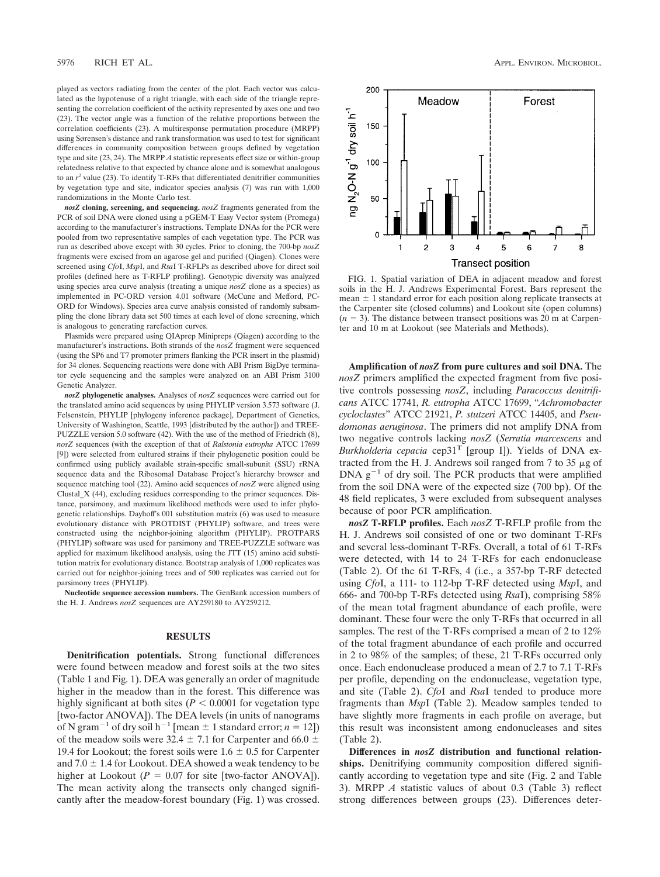played as vectors radiating from the center of the plot. Each vector was calculated as the hypotenuse of a right triangle, with each side of the triangle representing the correlation coefficient of the activity represented by axes one and two (23). The vector angle was a function of the relative proportions between the correlation coefficients (23). A multiresponse permutation procedure (MRPP) using Sørensen's distance and rank transformation was used to test for significant differences in community composition between groups defined by vegetation type and site (23, 24). The MRPP *A* statistic represents effect size or within-group relatedness relative to that expected by chance alone and is somewhat analogous to an  $r^2$  value (23). To identify T-RFs that differentiated denitrifier communities by vegetation type and site, indicator species analysis (7) was run with 1,000 randomizations in the Monte Carlo test.

*nosZ* **cloning, screening, and sequencing.** *nosZ* fragments generated from the PCR of soil DNA were cloned using a pGEM-T Easy Vector system (Promega) according to the manufacturer's instructions. Template DNAs for the PCR were pooled from two representative samples of each vegetation type. The PCR was run as described above except with 30 cycles. Prior to cloning, the 700-bp *nosZ* fragments were excised from an agarose gel and purified (Qiagen). Clones were screened using *Cfo*I, *Msp*I, and *Rsa*I T-RFLPs as described above for direct soil profiles (defined here as T-RFLP profiling). Genotypic diversity was analyzed using species area curve analysis (treating a unique *nosZ* clone as a species) as implemented in PC-ORD version 4.01 software (McCune and Mefford, PC-ORD for Windows). Species area curve analysis consisted of randomly subsampling the clone library data set 500 times at each level of clone screening, which is analogous to generating rarefaction curves.

Plasmids were prepared using QIAprep Minipreps (Qiagen) according to the manufacturer's instructions. Both strands of the *nosZ* fragment were sequenced (using the SP6 and T7 promoter primers flanking the PCR insert in the plasmid) for 34 clones. Sequencing reactions were done with ABI Prism BigDye terminator cycle sequencing and the samples were analyzed on an ABI Prism 3100 Genetic Analyzer.

*nosZ* **phylogenetic analyses.** Analyses of *nosZ* sequences were carried out for the translated amino acid sequences by using PHYLIP version 3.573 software (J. Felsenstein, PHYLIP [phylogeny inference package], Department of Genetics, University of Washington, Seattle, 1993 [distributed by the author]) and TREE-PUZZLE version 5.0 software (42). With the use of the method of Friedrich (8), *nosZ* sequences (with the exception of that of *Ralstonia eutropha* ATCC 17699 [9]) were selected from cultured strains if their phylogenetic position could be confirmed using publicly available strain-specific small-subunit (SSU) rRNA sequence data and the Ribosomal Database Project's hierarchy browser and sequence matching tool (22). Amino acid sequences of *nosZ* were aligned using Clustal\_X (44), excluding residues corresponding to the primer sequences. Distance, parsimony, and maximum likelihood methods were used to infer phylogenetic relationships. Dayhoff's 001 substitution matrix (6) was used to measure evolutionary distance with PROTDIST (PHYLIP) software, and trees were constructed using the neighbor-joining algorithm (PHYLIP). PROTPARS (PHYLIP) software was used for parsimony and TREE-PUZZLE software was applied for maximum likelihood analysis, using the JTT (15) amino acid substitution matrix for evolutionary distance. Bootstrap analysis of 1,000 replicates was carried out for neighbor-joining trees and of 500 replicates was carried out for parsimony trees (PHYLIP).

**Nucleotide sequence accession numbers.** The GenBank accession numbers of the H. J. Andrews *nosZ* sequences are AY259180 to AY259212.

# **RESULTS**

**Denitrification potentials.** Strong functional differences were found between meadow and forest soils at the two sites (Table 1 and Fig. 1). DEA was generally an order of magnitude higher in the meadow than in the forest. This difference was highly significant at both sites  $(P < 0.0001$  for vegetation type [two-factor ANOVA]). The DEA levels (in units of nanograms of N gram<sup>-1</sup> of dry soil h<sup>-1</sup> [mean  $\pm$  1 standard error; *n* = 12]) of the meadow soils were 32.4  $\pm$  7.1 for Carpenter and 66.0  $\pm$ 19.4 for Lookout; the forest soils were  $1.6 \pm 0.5$  for Carpenter and  $7.0 \pm 1.4$  for Lookout. DEA showed a weak tendency to be higher at Lookout ( $P = 0.07$  for site [two-factor ANOVA]). The mean activity along the transects only changed significantly after the meadow-forest boundary (Fig. 1) was crossed.



FIG. 1. Spatial variation of DEA in adjacent meadow and forest soils in the H. J. Andrews Experimental Forest. Bars represent the mean  $\pm$  1 standard error for each position along replicate transects at the Carpenter site (closed columns) and Lookout site (open columns)  $(n = 3)$ . The distance between transect positions was 20 m at Carpenter and 10 m at Lookout (see Materials and Methods).

**Amplification of** *nosZ* **from pure cultures and soil DNA.** The *nosZ* primers amplified the expected fragment from five positive controls possessing *nosZ*, including *Paracoccus denitrificans* ATCC 17741, *R. eutropha* ATCC 17699, "*Achromobacter cycloclastes*" ATCC 21921, *P. stutzeri* ATCC 14405, and *Pseudomonas aeruginosa*. The primers did not amplify DNA from two negative controls lacking *nosZ* (*Serratia marcescens* and *Burkholderia cepacia* cep31T [group I]). Yields of DNA extracted from the H. J. Andrews soil ranged from 7 to 35  $\mu$ g of  $DNA g<sup>-1</sup>$  of dry soil. The PCR products that were amplified from the soil DNA were of the expected size (700 bp). Of the 48 field replicates, 3 were excluded from subsequent analyses because of poor PCR amplification.

*nosZ* **T-RFLP profiles.** Each *nosZ* T-RFLP profile from the H. J. Andrews soil consisted of one or two dominant T-RFs and several less-dominant T-RFs. Overall, a total of 61 T-RFs were detected, with 14 to 24 T-RFs for each endonuclease (Table 2). Of the 61 T-RFs, 4 (i.e., a 357-bp T-RF detected using *Cfo*I, a 111- to 112-bp T-RF detected using *Msp*I, and 666- and 700-bp T-RFs detected using *Rsa*I), comprising 58% of the mean total fragment abundance of each profile, were dominant. These four were the only T-RFs that occurred in all samples. The rest of the T-RFs comprised a mean of 2 to 12% of the total fragment abundance of each profile and occurred in 2 to 98% of the samples; of these, 21 T-RFs occurred only once. Each endonuclease produced a mean of 2.7 to 7.1 T-RFs per profile, depending on the endonuclease, vegetation type, and site (Table 2). *Cfo*I and *Rsa*I tended to produce more fragments than *Msp*I (Table 2). Meadow samples tended to have slightly more fragments in each profile on average, but this result was inconsistent among endonucleases and sites (Table 2).

**Differences in** *nosZ* **distribution and functional relationships.** Denitrifying community composition differed significantly according to vegetation type and site (Fig. 2 and Table 3). MRPP *A* statistic values of about 0.3 (Table 3) reflect strong differences between groups (23). Differences deter-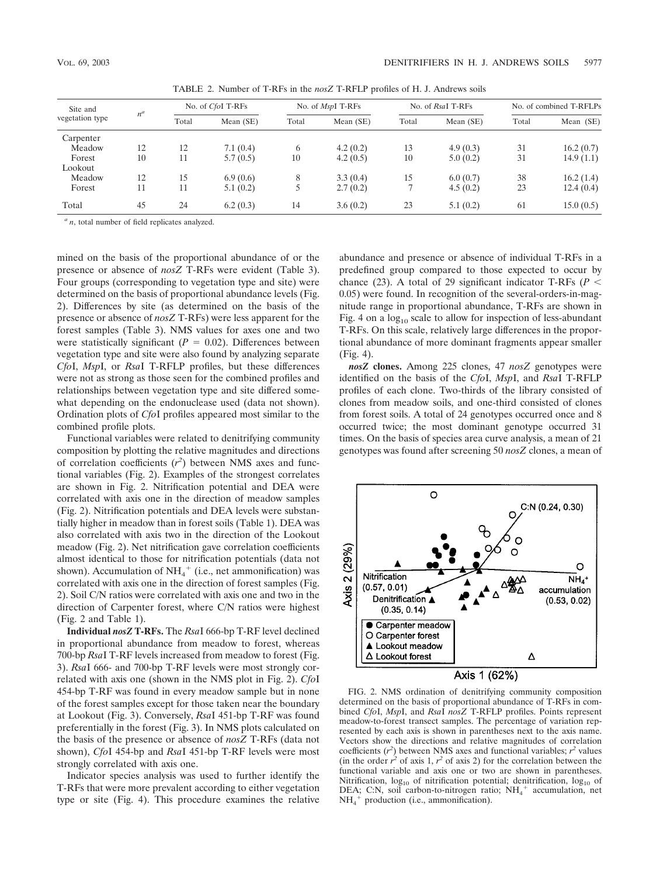| Site and<br>$n^a$<br>vegetation type |    | No. of CfoI T-RFs |           | No. of <i>MspI</i> T-RFs |           | No. of RsaI T-RFs |           | No. of combined T-RFLPs |           |
|--------------------------------------|----|-------------------|-----------|--------------------------|-----------|-------------------|-----------|-------------------------|-----------|
|                                      |    | Total             | Mean (SE) | Total                    | Mean (SE) | Total             | Mean (SE) | Total                   | Mean (SE) |
| Carpenter                            |    |                   |           |                          |           |                   |           |                         |           |
| Meadow                               | 12 | 12                | 7.1(0.4)  | <sub>b</sub>             | 4.2(0.2)  | 13                | 4.9(0.3)  | 31                      | 16.2(0.7) |
| Forest                               | 10 | 11                | 5.7(0.5)  | 10                       | 4.2(0.5)  | 10                | 5.0(0.2)  | 31                      | 14.9(1.1) |
| Lookout                              |    |                   |           |                          |           |                   |           |                         |           |
| Meadow                               | 12 | 15                | 6.9(0.6)  | 8                        | 3.3(0.4)  | 15                | 6.0(0.7)  | 38                      | 16.2(1.4) |
| Forest                               | 11 | 11                | 5.1(0.2)  |                          | 2.7(0.2)  |                   | 4.5(0.2)  | 23                      | 12.4(0.4) |
| Total                                | 45 | 24                | 6.2(0.3)  | 14                       | 3.6(0.2)  | 23                | 5.1(0.2)  | 61                      | 15.0(0.5) |

TABLE 2. Number of T-RFs in the *nosZ* T-RFLP profiles of H. J. Andrews soils

*<sup>a</sup> n*, total number of field replicates analyzed.

mined on the basis of the proportional abundance of or the presence or absence of *nosZ* T-RFs were evident (Table 3). Four groups (corresponding to vegetation type and site) were determined on the basis of proportional abundance levels (Fig. 2). Differences by site (as determined on the basis of the presence or absence of *nosZ* T-RFs) were less apparent for the forest samples (Table 3). NMS values for axes one and two were statistically significant ( $P = 0.02$ ). Differences between vegetation type and site were also found by analyzing separate *Cfo*I, *Msp*I, or *Rsa*I T-RFLP profiles, but these differences were not as strong as those seen for the combined profiles and relationships between vegetation type and site differed somewhat depending on the endonuclease used (data not shown). Ordination plots of *Cfo*I profiles appeared most similar to the combined profile plots.

Functional variables were related to denitrifying community composition by plotting the relative magnitudes and directions of correlation coefficients  $(r^2)$  between NMS axes and functional variables (Fig. 2). Examples of the strongest correlates are shown in Fig. 2. Nitrification potential and DEA were correlated with axis one in the direction of meadow samples (Fig. 2). Nitrification potentials and DEA levels were substantially higher in meadow than in forest soils (Table 1). DEA was also correlated with axis two in the direction of the Lookout meadow (Fig. 2). Net nitrification gave correlation coefficients almost identical to those for nitrification potentials (data not shown). Accumulation of  $NH_4^+$  (i.e., net ammonification) was correlated with axis one in the direction of forest samples (Fig. 2). Soil C/N ratios were correlated with axis one and two in the direction of Carpenter forest, where C/N ratios were highest (Fig. 2 and Table 1).

**Individual** *nosZ* **T-RFs.** The *Rsa*I 666-bp T-RF level declined in proportional abundance from meadow to forest, whereas 700-bp *Rsa*I T-RF levels increased from meadow to forest (Fig. 3). *Rsa*I 666- and 700-bp T-RF levels were most strongly correlated with axis one (shown in the NMS plot in Fig. 2). *Cfo*I 454-bp T-RF was found in every meadow sample but in none of the forest samples except for those taken near the boundary at Lookout (Fig. 3). Conversely, *Rsa*I 451-bp T-RF was found preferentially in the forest (Fig. 3). In NMS plots calculated on the basis of the presence or absence of *nosZ* T-RFs (data not shown), *Cfo*I 454-bp and *Rsa*I 451-bp T-RF levels were most strongly correlated with axis one.

Indicator species analysis was used to further identify the T-RFs that were more prevalent according to either vegetation type or site (Fig. 4). This procedure examines the relative

abundance and presence or absence of individual T-RFs in a predefined group compared to those expected to occur by chance (23). A total of 29 significant indicator T-RFs ( $P <$ 0.05) were found. In recognition of the several-orders-in-magnitude range in proportional abundance, T-RFs are shown in Fig. 4 on a  $log_{10}$  scale to allow for inspection of less-abundant T-RFs. On this scale, relatively large differences in the proportional abundance of more dominant fragments appear smaller (Fig. 4).

*nosZ* **clones.** Among 225 clones, 47 *nosZ* genotypes were identified on the basis of the *Cfo*I, *Msp*I, and *Rsa*I T-RFLP profiles of each clone. Two-thirds of the library consisted of clones from meadow soils, and one-third consisted of clones from forest soils. A total of 24 genotypes occurred once and 8 occurred twice; the most dominant genotype occurred 31 times. On the basis of species area curve analysis, a mean of 21 genotypes was found after screening 50 *nosZ* clones, a mean of



FIG. 2. NMS ordination of denitrifying community composition determined on the basis of proportional abundance of T-RFs in combined *Cfo*I, *Msp*I, and *Rsa*I *nosZ* T-RFLP profiles. Points represent meadow-to-forest transect samples. The percentage of variation represented by each axis is shown in parentheses next to the axis name. Vectors show the directions and relative magnitudes of correlation coefficients  $(r^2)$  between NMS axes and functional variables;  $r^2$  values (in the order  $r^2$  of axis 1,  $r^2$  of axis 2) for the correlation between the functional variable and axis one or two are shown in parentheses. Nitrification,  $log_{10}$  of nitrification potential; denitrification,  $log_{10}$  of DEA; C:N, soil carbon-to-nitrogen ratio; NH<sub>4</sub><sup>+</sup> accumulation, net NH4 production (i.e., ammonification).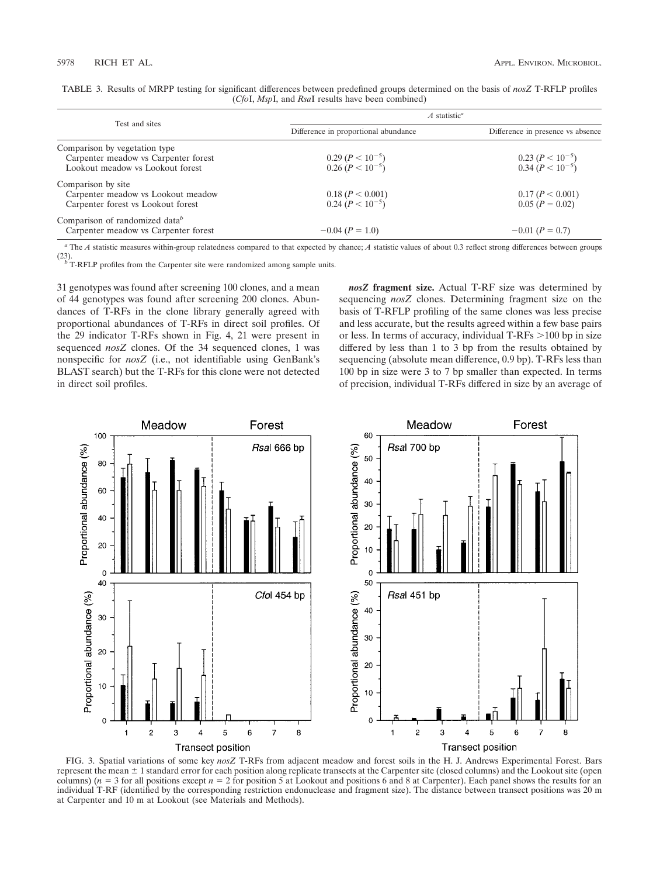|                                            | $A$ statistic <sup>a</sup>                       |                                              |
|--------------------------------------------|--------------------------------------------------|----------------------------------------------|
| Test and sites                             | Difference in proportional abundance             | Difference in presence vs absence            |
| Comparison by vegetation type              |                                                  |                                              |
| Carpenter meadow vs Carpenter forest       |                                                  |                                              |
| Lookout meadow vs Lookout forest           | 0.29 ( $P < 10^{-5}$ )<br>0.26 ( $P < 10^{-5}$ ) | 0.23 $(P < 10^{-5})$<br>0.34 $(P < 10^{-5})$ |
| Comparison by site                         |                                                  |                                              |
| Carpenter meadow vs Lookout meadow         | 0.18 (P < 0.001)                                 | 0.17 (P < 0.001)                             |
| Carpenter forest vs Lookout forest         | $0.24 (P < 10^{-5})$                             | $0.05 (P = 0.02)$                            |
| Comparison of randomized data <sup>b</sup> |                                                  |                                              |
| Carpenter meadow vs Carpenter forest       | $-0.04$ ( $P = 1.0$ )                            | $-0.01$ ( $P = 0.7$ )                        |

TABLE 3. Results of MRPP testing for significant differences between predefined groups determined on the basis of *nosZ* T-RFLP profiles (*Cfo*I, *Msp*I, and *Rsa*I results have been combined)

*<sup>a</sup>* The *A* statistic measures within-group relatedness compared to that expected by chance; *A* statistic values of about 0.3 reflect strong differences between groups (23).  $\int_{b}^{b}$  T-RFLP profiles from the Carpenter site were randomized among sample units.

31 genotypes was found after screening 100 clones, and a mean of 44 genotypes was found after screening 200 clones. Abundances of T-RFs in the clone library generally agreed with proportional abundances of T-RFs in direct soil profiles. Of the 29 indicator T-RFs shown in Fig. 4, 21 were present in sequenced *nosZ* clones. Of the 34 sequenced clones, 1 was nonspecific for *nosZ* (i.e., not identifiable using GenBank's BLAST search) but the T-RFs for this clone were not detected in direct soil profiles.

*nosZ* **fragment size.** Actual T-RF size was determined by sequencing *nosZ* clones. Determining fragment size on the basis of T-RFLP profiling of the same clones was less precise and less accurate, but the results agreed within a few base pairs or less. In terms of accuracy, individual  $T-RFs > 100$  bp in size differed by less than 1 to 3 bp from the results obtained by sequencing (absolute mean difference, 0.9 bp). T-RFs less than 100 bp in size were 3 to 7 bp smaller than expected. In terms of precision, individual T-RFs differed in size by an average of



FIG. 3. Spatial variations of some key *nosZ* T-RFs from adjacent meadow and forest soils in the H. J. Andrews Experimental Forest. Bars represent the mean  $\pm 1$  standard error for each position along replicate transects at the Carpenter site (closed columns) and the Lookout site (open columns) ( $n = 3$  for all positions except  $n = 2$  for position 5 at Lookout and positions 6 and 8 at Carpenter). Each panel shows the results for an individual T-RF (identified by the corresponding restriction endonuclease and fragment size). The distance between transect positions was 20 m at Carpenter and 10 m at Lookout (see Materials and Methods).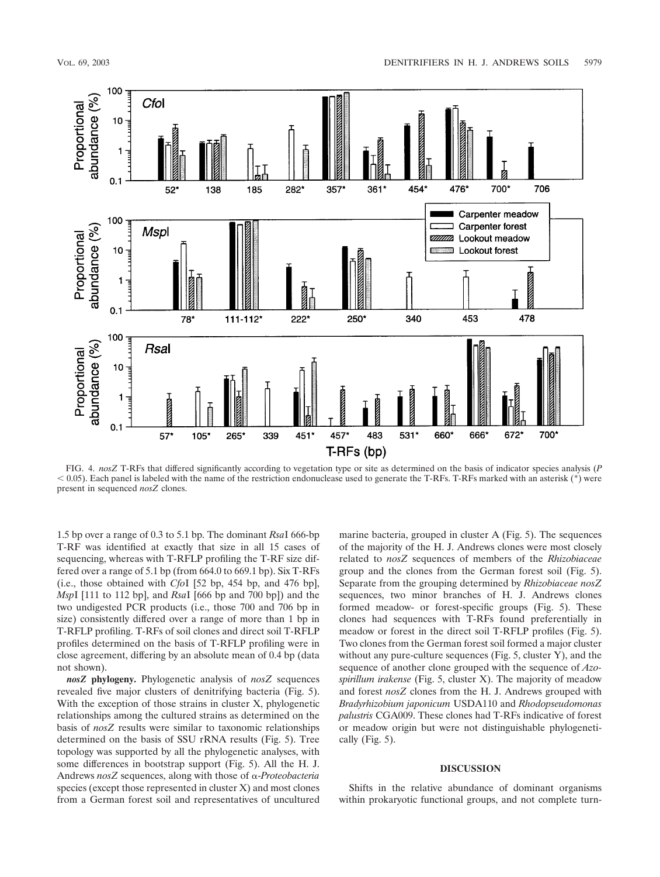

FIG. 4. *nosZ* T-RFs that differed significantly according to vegetation type or site as determined on the basis of indicator species analysis (*P*  $0.05$ ). Each panel is labeled with the name of the restriction endonuclease used to generate the T-RFs. T-RFs marked with an asterisk (\*) were present in sequenced *nosZ* clones.

1.5 bp over a range of 0.3 to 5.1 bp. The dominant *Rsa*I 666-bp T-RF was identified at exactly that size in all 15 cases of sequencing, whereas with T-RFLP profiling the T-RF size differed over a range of 5.1 bp (from 664.0 to 669.1 bp). Six T-RFs (i.e., those obtained with *Cfo*I [52 bp, 454 bp, and 476 bp], *Msp*I [111 to 112 bp], and *Rsa*I [666 bp and 700 bp]) and the two undigested PCR products (i.e., those 700 and 706 bp in size) consistently differed over a range of more than 1 bp in T-RFLP profiling. T-RFs of soil clones and direct soil T-RFLP profiles determined on the basis of T-RFLP profiling were in close agreement, differing by an absolute mean of 0.4 bp (data not shown).

*nosZ* **phylogeny.** Phylogenetic analysis of *nosZ* sequences revealed five major clusters of denitrifying bacteria (Fig. 5). With the exception of those strains in cluster X, phylogenetic relationships among the cultured strains as determined on the basis of *nosZ* results were similar to taxonomic relationships determined on the basis of SSU rRNA results (Fig. 5). Tree topology was supported by all the phylogenetic analyses, with some differences in bootstrap support (Fig. 5). All the H. J. Andrews *nosZ* sequences, along with those of -*Proteobacteria* species (except those represented in cluster X) and most clones from a German forest soil and representatives of uncultured marine bacteria, grouped in cluster A (Fig. 5). The sequences of the majority of the H. J. Andrews clones were most closely related to *nosZ* sequences of members of the *Rhizobiaceae* group and the clones from the German forest soil (Fig. 5). Separate from the grouping determined by *Rhizobiaceae nosZ* sequences, two minor branches of H. J. Andrews clones formed meadow- or forest-specific groups (Fig. 5). These clones had sequences with T-RFs found preferentially in meadow or forest in the direct soil T-RFLP profiles (Fig. 5). Two clones from the German forest soil formed a major cluster without any pure-culture sequences (Fig. 5, cluster Y), and the sequence of another clone grouped with the sequence of *Azospirillum irakense* (Fig. 5, cluster X). The majority of meadow and forest *nosZ* clones from the H. J. Andrews grouped with *Bradyrhizobium japonicum* USDA110 and *Rhodopseudomonas palustris* CGA009. These clones had T-RFs indicative of forest or meadow origin but were not distinguishable phylogenetically (Fig. 5).

# **DISCUSSION**

Shifts in the relative abundance of dominant organisms within prokaryotic functional groups, and not complete turn-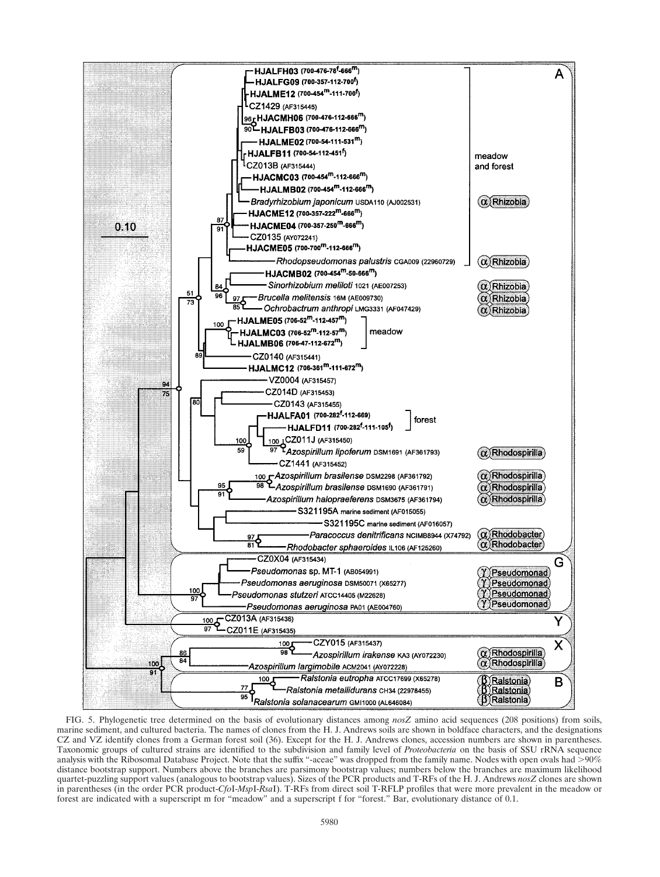

FIG. 5. Phylogenetic tree determined on the basis of evolutionary distances among *nosZ* amino acid sequences (208 positions) from soils, marine sediment, and cultured bacteria. The names of clones from the H. J. Andrews soils are shown in boldface characters, and the designations CZ and VZ identify clones from a German forest soil (36). Except for the H. J. Andrews clones, accession numbers are shown in parentheses. Taxonomic groups of cultured strains are identified to the subdivision and family level of *Proteobacteria* on the basis of SSU rRNA sequence analysis with the Ribosomal Database Project. Note that the suffix "-aceae" was dropped from the family name. Nodes with open ovals had >90% distance bootstrap support. Numbers above the branches are parsimony bootstrap values; numbers below the branches are maximum likelihood quartet-puzzling support values (analogous to bootstrap values). Sizes of the PCR products and T-RFs of the H. J. Andrews *nosZ* clones are shown in parentheses (in the order PCR product-*Cfo*I-*Msp*I-*Rsa*I). T-RFs from direct soil T-RFLP profiles that were more prevalent in the meadow or forest are indicated with a superscript m for "meadow" and a superscript f for "forest." Bar, evolutionary distance of 0.1.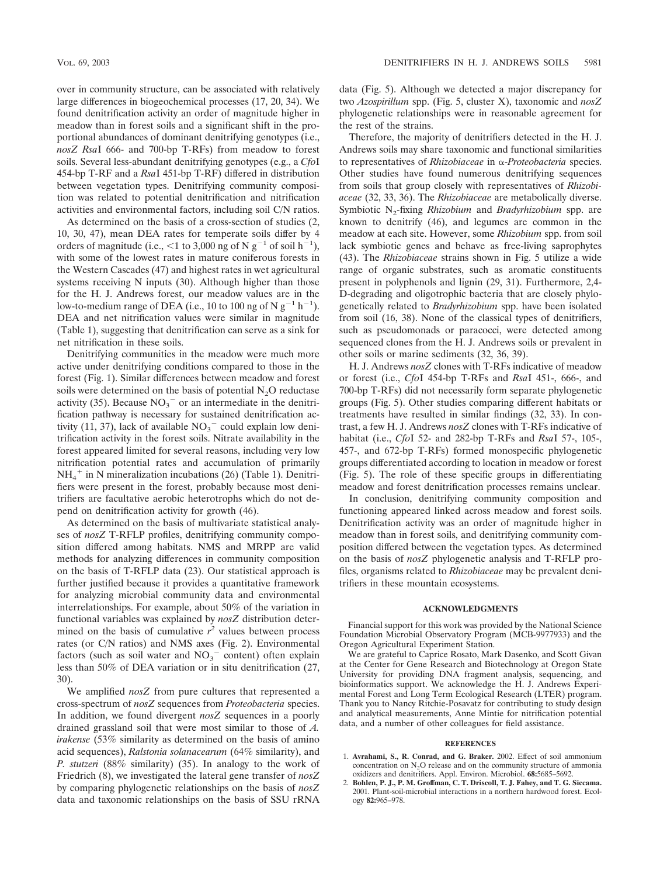over in community structure, can be associated with relatively large differences in biogeochemical processes (17, 20, 34). We found denitrification activity an order of magnitude higher in meadow than in forest soils and a significant shift in the proportional abundances of dominant denitrifying genotypes (i.e., *nosZ Rsa*I 666- and 700-bp T-RFs) from meadow to forest soils. Several less-abundant denitrifying genotypes (e.g., a *Cfo*I 454-bp T-RF and a *Rsa*I 451-bp T-RF) differed in distribution between vegetation types. Denitrifying community composition was related to potential denitrification and nitrification activities and environmental factors, including soil C/N ratios.

As determined on the basis of a cross-section of studies (2, 10, 30, 47), mean DEA rates for temperate soils differ by 4 orders of magnitude (i.e.,  $\leq 1$  to 3,000 ng of N g<sup>-1</sup> of soil h<sup>-1</sup>), with some of the lowest rates in mature coniferous forests in the Western Cascades (47) and highest rates in wet agricultural systems receiving N inputs (30). Although higher than those for the H. J. Andrews forest, our meadow values are in the low-to-medium range of DEA (i.e., 10 to 100 ng of N  $g^{-1}$  h<sup>-1</sup>). DEA and net nitrification values were similar in magnitude (Table 1), suggesting that denitrification can serve as a sink for net nitrification in these soils.

Denitrifying communities in the meadow were much more active under denitrifying conditions compared to those in the forest (Fig. 1). Similar differences between meadow and forest soils were determined on the basis of potential  $N_2O$  reductase activity (35). Because  $NO<sub>3</sub><sup>-</sup>$  or an intermediate in the denitrification pathway is necessary for sustained denitrification activity (11, 37), lack of available  $NO<sub>3</sub><sup>-</sup>$  could explain low denitrification activity in the forest soils. Nitrate availability in the forest appeared limited for several reasons, including very low nitrification potential rates and accumulation of primarily  $NH_4^+$  in N mineralization incubations (26) (Table 1). Denitrifiers were present in the forest, probably because most denitrifiers are facultative aerobic heterotrophs which do not depend on denitrification activity for growth (46).

As determined on the basis of multivariate statistical analyses of *nosZ* T-RFLP profiles, denitrifying community composition differed among habitats. NMS and MRPP are valid methods for analyzing differences in community composition on the basis of T-RFLP data (23). Our statistical approach is further justified because it provides a quantitative framework for analyzing microbial community data and environmental interrelationships. For example, about 50% of the variation in functional variables was explained by *nosZ* distribution determined on the basis of cumulative  $r^2$  values between process rates (or C/N ratios) and NMS axes (Fig. 2). Environmental factors (such as soil water and  $NO<sub>3</sub><sup>-</sup>$  content) often explain less than 50% of DEA variation or in situ denitrification (27, 30).

We amplified *nosZ* from pure cultures that represented a cross-spectrum of *nosZ* sequences from *Proteobacteria* species. In addition, we found divergent *nosZ* sequences in a poorly drained grassland soil that were most similar to those of *A. irakense* (53% similarity as determined on the basis of amino acid sequences), *Ralstonia solanacearum* (64% similarity), and *P. stutzeri* (88% similarity) (35). In analogy to the work of Friedrich (8), we investigated the lateral gene transfer of *nosZ* by comparing phylogenetic relationships on the basis of *nosZ* data and taxonomic relationships on the basis of SSU rRNA

data (Fig. 5). Although we detected a major discrepancy for two *Azospirillum* spp. (Fig. 5, cluster X), taxonomic and *nosZ* phylogenetic relationships were in reasonable agreement for the rest of the strains.

Therefore, the majority of denitrifiers detected in the H. J. Andrews soils may share taxonomic and functional similarities to representatives of *Rhizobiaceae* in α-*Proteobacteria* species. Other studies have found numerous denitrifying sequences from soils that group closely with representatives of *Rhizobiaceae* (32, 33, 36). The *Rhizobiaceae* are metabolically diverse. Symbiotic N2-fixing *Rhizobium* and *Bradyrhizobium* spp. are known to denitrify (46), and legumes are common in the meadow at each site. However, some *Rhizobium* spp. from soil lack symbiotic genes and behave as free-living saprophytes (43). The *Rhizobiaceae* strains shown in Fig. 5 utilize a wide range of organic substrates, such as aromatic constituents present in polyphenols and lignin (29, 31). Furthermore, 2,4- D-degrading and oligotrophic bacteria that are closely phylogenetically related to *Bradyrhizobium* spp. have been isolated from soil (16, 38). None of the classical types of denitrifiers, such as pseudomonads or paracocci, were detected among sequenced clones from the H. J. Andrews soils or prevalent in other soils or marine sediments (32, 36, 39).

H. J. Andrews *nosZ* clones with T-RFs indicative of meadow or forest (i.e., *Cfo*I 454-bp T-RFs and *Rsa*I 451-, 666-, and 700-bp T-RFs) did not necessarily form separate phylogenetic groups (Fig. 5). Other studies comparing different habitats or treatments have resulted in similar findings (32, 33). In contrast, a few H. J. Andrews *nosZ* clones with T-RFs indicative of habitat (i.e., *Cfo*I 52- and 282-bp T-RFs and *Rsa*I 57-, 105-, 457-, and 672-bp T-RFs) formed monospecific phylogenetic groups differentiated according to location in meadow or forest (Fig. 5). The role of these specific groups in differentiating meadow and forest denitrification processes remains unclear.

In conclusion, denitrifying community composition and functioning appeared linked across meadow and forest soils. Denitrification activity was an order of magnitude higher in meadow than in forest soils, and denitrifying community composition differed between the vegetation types. As determined on the basis of *nosZ* phylogenetic analysis and T-RFLP profiles, organisms related to *Rhizobiaceae* may be prevalent denitrifiers in these mountain ecosystems.

### **ACKNOWLEDGMENTS**

Financial support for this work was provided by the National Science Foundation Microbial Observatory Program (MCB-9977933) and the Oregon Agricultural Experiment Station.

We are grateful to Caprice Rosato, Mark Dasenko, and Scott Givan at the Center for Gene Research and Biotechnology at Oregon State University for providing DNA fragment analysis, sequencing, and bioinformatics support. We acknowledge the H. J. Andrews Experimental Forest and Long Term Ecological Research (LTER) program. Thank you to Nancy Ritchie-Posavatz for contributing to study design and analytical measurements, Anne Mintie for nitrification potential data, and a number of other colleagues for field assistance.

#### **REFERENCES**

- 1. **Avrahami, S., R. Conrad, and G. Braker.** 2002. Effect of soil ammonium concentration on  $N<sub>2</sub>O$  release and on the community structure of ammonia oxidizers and denitrifiers. Appl. Environ. Microbiol. **68:**5685–5692.
- 2. **Bohlen, P. J., P. M. Groffman, C. T. Driscoll, T. J. Fahey, and T. G. Siccama.** 2001. Plant-soil-microbial interactions in a northern hardwood forest. Ecology **82:**965–978.